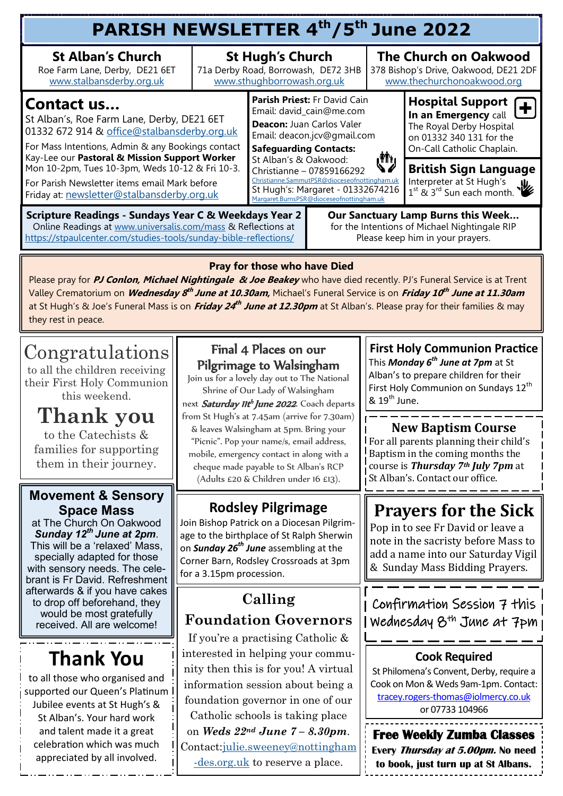#### **PARISH NEWSLETTER 4th/5th June 2022 St Alban's Church St Hugh's Church The Church on Oakwood**  Roe Farm Lane, Derby, DE21 6ET 71a Derby Road, Borrowash, DE72 3HB 378 Bishop's Drive, Oakwood, DE21 2DF [www.sthughborrowash.org.uk](http://www.sthughborrowash.org.uk) [www.stalbansderby.org.uk](http://www.stalbansderby.org.uk) [www.thechurchonoakwood.org](http://www.thechurchonoakwood.org) **Parish Priest:** Fr David Cain **Hospital Support Contact us…**  Ŧ Email: david\_cain@me.com **In an Emergency** call St Alban's, Roe Farm Lane, Derby, DE21 6ET **Deacon:** Juan Carlos Valer The Royal Derby Hospital 01332 672 914 & [office@stalbansderby.org.uk](mailto:office@stalbansderby.org.uk) Email: deacon.jcv@gmail.com on 01332 340 131 for the For Mass Intentions, Admin & any Bookings contact **Safeguarding Contacts:** On-Call Catholic Chaplain. Kay-Lee our **Pastoral & Mission Support Worker**  М, St Alban's & Oakwood: Mon 10-2pm, Tues 10-3pm, Weds 10-12 & Fri 10-3. **British Sign Language** Christianne – 07859166292 [Christianne.SammutPSR@dioceseofnottingham.uk](mailto:Christianne.SammutPSR@dioceseofnottingham.uk) Interpreter at St Hugh's For Parish Newsletter items email Mark before St Hugh's: Margaret - 01332674216 1<sup>st</sup> & 3<sup>rd</sup> Sun each month. Friday at: [newsletter@stalbansderby.org.uk](mailto:newsletter@stalbansderby.org.uk) [Margaret.BurnsPSR@dioceseofnottingham.uk](mailto:Margaret.BurnsPSR@dioceseofnottingham.uk) **Scripture Readings - Sundays Year C & Weekdays Year 2 Our Sanctuary Lamp Burns this Week…** Online Readings at [www.universalis.com/mass](http://www.universalis.com/mass) & Reflections at for the Intentions of Michael Nightingale RIP <https://stpaulcenter.com/studies-tools/sunday-bible-reflections/> Please keep him in your prayers. **Pray for those who have Died**

Please pray for **PJ Conlon, Michael Nightingale & Joe Beakey** who have died recently. PJ's Funeral Service is at Trent Valley Crematorium on **Wednesday 8 th June at 10.30am,** Michael's Funeral Service is on **Friday 10 th June at 11.30am**  at St Hugh's & Joe's Funeral Mass is on *Friday 24<sup>th</sup> June at 12.30pm* at St Alban's. Please pray for their families & may they rest in peace.

# Congratulations

to all the children receiving their First Holy Communion this weekend.

**Thank you**  to the Catechists & families for supporting them in their journey.

#### **Movement & Sensory Space Mass**

at The Church On Oakwood *Sunday 12th June at 2pm*. This will be a 'relaxed' Mass, specially adapted for those with sensory needs. The celebrant is Fr David. Refreshment afterwards & if you have cakes to drop off beforehand, they would be most gratefully received. All are welcome!

# **Thank You**

to all those who organised and supported our Queen's Platinum Jubilee events at St Hugh's & St Alban's. Your hard work and talent made it a great celebration which was much appreciated by all involved.

### Final 4 Places on our Pilgrimage to Walsingham

Join us for a lovely day out to The National Shrine of Our Lady of Walsingham

next Saturday IIt<sup>h</sup> June 2022. Coach departs from St Hugh's at 7.45am (arrive for 7.30am) & leaves Walsingham at 5pm. Bring your "Picnic". Pop your name/s, email address, mobile, emergency contact in along with a cheque made payable to St Alban's RCP (Adults £20 & Children under 16 £13).

## **Rodsley Pilgrimage**

Join Bishop Patrick on a Diocesan Pilgrimage to the birthplace of St Ralph Sherwin on *Sunday 26th June* assembling at the Corner Barn, Rodsley Crossroads at 3pm for a 3.15pm procession.

### **Calling Foundation Governors**

If you're a practising Catholic & interested in helping your community then this is for you! A virtual information session about being a foundation governor in one of our Catholic schools is taking place on *Weds 22nd June 7 – 8.30pm*. Contact[:julie.sweeney@nottingham](mailto:julie.sweeney@nottingham-des.org.uk) [-des.org.uk](mailto:julie.sweeney@nottingham-des.org.uk) to reserve a place.

**First Holy Communion Practice** This *Monday 6th June at 7pm* at St Alban's to prepare children for their First Holy Communion on Sundays 12<sup>th</sup>  $8.19<sup>th</sup>$  June.

**New Baptism Course** For all parents planning their child's Baptism in the coming months the course is *Thursday 7th July 7pm* at St Alban's. Contact our office.

# **Prayers for the Sick**

Pop in to see Fr David or leave a note in the sacristy before Mass to add a name into our Saturday Vigil & Sunday Mass Bidding Prayers.

### Confirmation Session 7 this Wednesday 8th June at 7pm